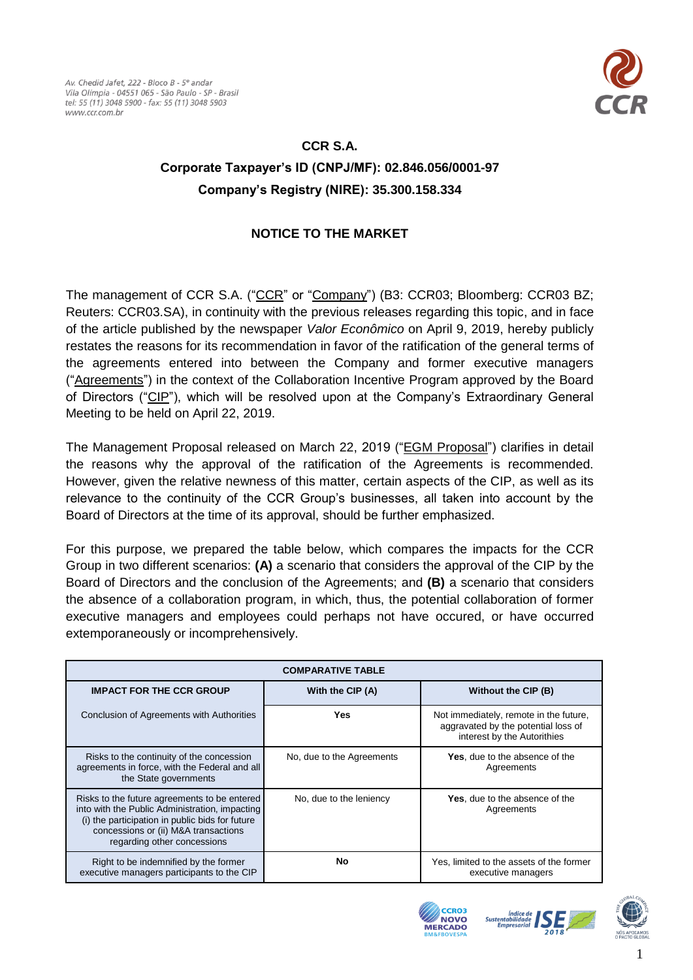

## **CCR S.A.**

## **Corporate Taxpayer's ID (CNPJ/MF): 02.846.056/0001-97 Company's Registry (NIRE): 35.300.158.334**

## **NOTICE TO THE MARKET**

The management of CCR S.A. ("CCR" or "Company") (B3: CCR03; Bloomberg: CCR03 BZ; Reuters: CCR03.SA), in continuity with the previous releases regarding this topic, and in face of the article published by the newspaper *Valor Econômico* on April 9, 2019, hereby publicly restates the reasons for its recommendation in favor of the ratification of the general terms of the agreements entered into between the Company and former executive managers ("Agreements") in the context of the Collaboration Incentive Program approved by the Board of Directors ("CIP"), which will be resolved upon at the Company's Extraordinary General Meeting to be held on April 22, 2019.

The Management Proposal released on March 22, 2019 ("EGM Proposal") clarifies in detail the reasons why the approval of the ratification of the Agreements is recommended. However, given the relative newness of this matter, certain aspects of the CIP, as well as its relevance to the continuity of the CCR Group's businesses, all taken into account by the Board of Directors at the time of its approval, should be further emphasized.

For this purpose, we prepared the table below, which compares the impacts for the CCR Group in two different scenarios: **(A)** a scenario that considers the approval of the CIP by the Board of Directors and the conclusion of the Agreements; and **(B)** a scenario that considers the absence of a collaboration program, in which, thus, the potential collaboration of former executive managers and employees could perhaps not have occured, or have occurred extemporaneously or incomprehensively.

| <b>COMPARATIVE TABLE</b>                                                                                                                                                                                                 |                           |                                                                                                              |
|--------------------------------------------------------------------------------------------------------------------------------------------------------------------------------------------------------------------------|---------------------------|--------------------------------------------------------------------------------------------------------------|
| <b>IMPACT FOR THE CCR GROUP</b>                                                                                                                                                                                          | With the CIP (A)          | Without the CIP (B)                                                                                          |
| Conclusion of Agreements with Authorities                                                                                                                                                                                | Yes                       | Not immediately, remote in the future,<br>aggravated by the potential loss of<br>interest by the Autorithies |
| Risks to the continuity of the concession<br>agreements in force, with the Federal and all<br>the State governments                                                                                                      | No, due to the Agreements | <b>Yes</b> , due to the absence of the<br>Agreements                                                         |
| Risks to the future agreements to be entered<br>into with the Public Administration, impacting<br>(i) the participation in public bids for future<br>concessions or (ii) M&A transactions<br>regarding other concessions | No, due to the leniency   | <b>Yes</b> , due to the absence of the<br>Agreements                                                         |
| Right to be indemnified by the former<br>executive managers participants to the CIP                                                                                                                                      | No                        | Yes, limited to the assets of the former<br>executive managers                                               |





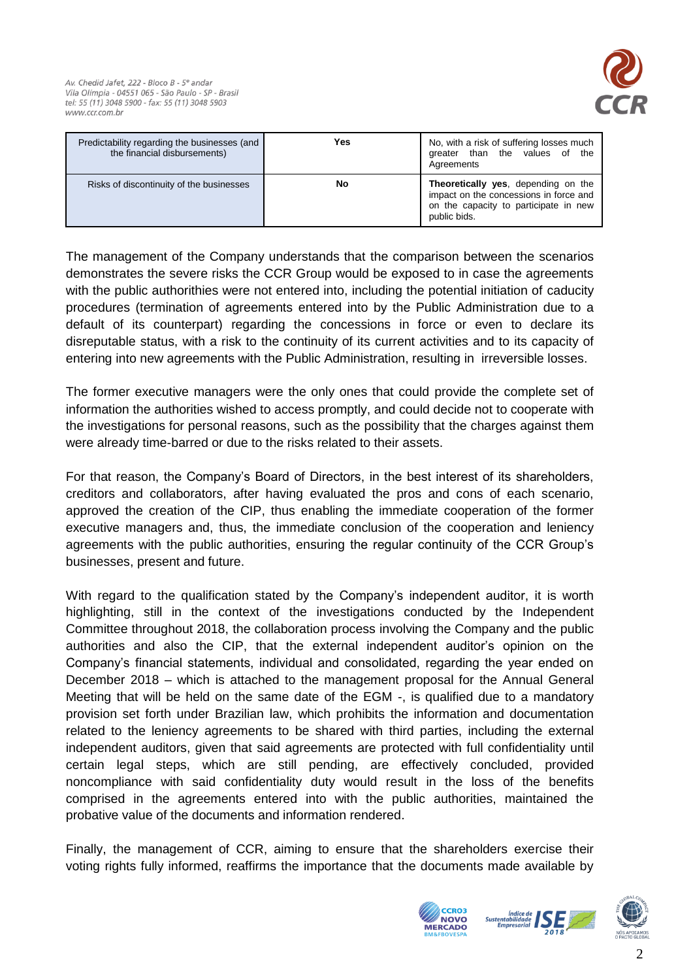

| Predictability regarding the businesses (and<br>the financial disbursements) | Yes | No, with a risk of suffering losses much<br>greater than the values of the<br>Agreements                                               |
|------------------------------------------------------------------------------|-----|----------------------------------------------------------------------------------------------------------------------------------------|
| Risks of discontinuity of the businesses                                     | No  | Theoretically yes, depending on the<br>impact on the concessions in force and<br>on the capacity to participate in new<br>public bids. |

The management of the Company understands that the comparison between the scenarios demonstrates the severe risks the CCR Group would be exposed to in case the agreements with the public authorithies were not entered into, including the potential initiation of caducity procedures (termination of agreements entered into by the Public Administration due to a default of its counterpart) regarding the concessions in force or even to declare its disreputable status, with a risk to the continuity of its current activities and to its capacity of entering into new agreements with the Public Administration, resulting in irreversible losses.

The former executive managers were the only ones that could provide the complete set of information the authorities wished to access promptly, and could decide not to cooperate with the investigations for personal reasons, such as the possibility that the charges against them were already time-barred or due to the risks related to their assets.

For that reason, the Company's Board of Directors, in the best interest of its shareholders, creditors and collaborators, after having evaluated the pros and cons of each scenario, approved the creation of the CIP, thus enabling the immediate cooperation of the former executive managers and, thus, the immediate conclusion of the cooperation and leniency agreements with the public authorities, ensuring the regular continuity of the CCR Group's businesses, present and future.

With regard to the qualification stated by the Company's independent auditor, it is worth highlighting, still in the context of the investigations conducted by the Independent Committee throughout 2018, the collaboration process involving the Company and the public authorities and also the CIP, that the external independent auditor's opinion on the Company's financial statements, individual and consolidated, regarding the year ended on December 2018 – which is attached to the management proposal for the Annual General Meeting that will be held on the same date of the EGM -, is qualified due to a mandatory provision set forth under Brazilian law, which prohibits the information and documentation related to the leniency agreements to be shared with third parties, including the external independent auditors, given that said agreements are protected with full confidentiality until certain legal steps, which are still pending, are effectively concluded, provided noncompliance with said confidentiality duty would result in the loss of the benefits comprised in the agreements entered into with the public authorities, maintained the probative value of the documents and information rendered.

Finally, the management of CCR, aiming to ensure that the shareholders exercise their voting rights fully informed, reaffirms the importance that the documents made available by